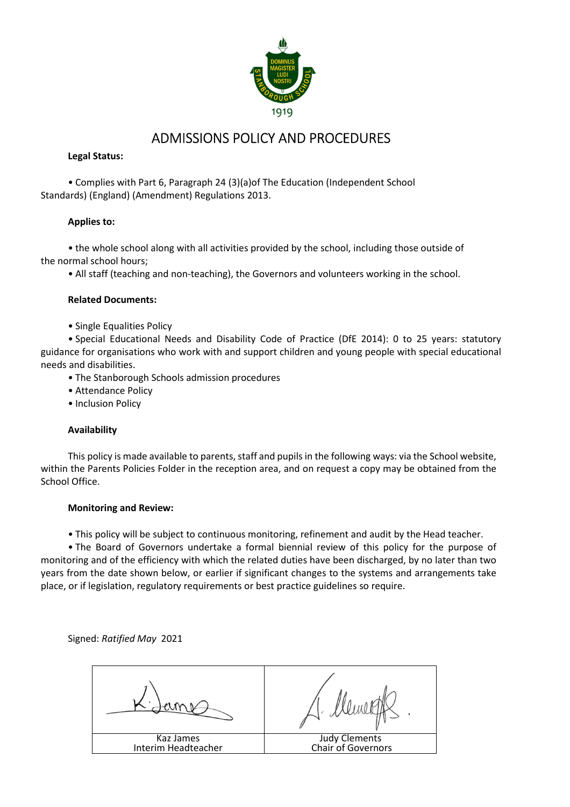

## ADMISSIONS POLICY AND PROCEDURES

#### **Legal Status:**

• Complies with Part 6, Paragraph 24 (3)(a)of The Education (Independent School Standards) (England) (Amendment) Regulations 2013.

#### **Applies to:**

• the whole school along with all activities provided by the school, including those outside of the normal school hours;

• All staff (teaching and non-teaching), the Governors and volunteers working in the school.

#### **Related Documents:**

• Single Equalities Policy

• Special Educational Needs and Disability Code of Practice (DfE 2014): 0 to 25 years: statutory guidance for organisations who work with and support children and young people with special educational needs and disabilities.

- The Stanborough Schools admission procedures
- Attendance Policy
- Inclusion Policy

#### **Availability**

This policy is made available to parents, staff and pupils in the following ways: via the School website, within the Parents Policies Folder in the reception area, and on request a copy may be obtained from the School Office.

#### **Monitoring and Review:**

• This policy will be subject to continuous monitoring, refinement and audit by the Head teacher.

• The Board of Governors undertake a formal biennial review of this policy for the purpose of monitoring and of the efficiency with which the related duties have been discharged, by no later than two years from the date shown below, or earlier if significant changes to the systems and arrangements take place, or if legislation, regulatory requirements or best practice guidelines so require.

Signed: *Ratified May* 2021

| Kaz James<br>Interim Headteacher | Judy Clements<br>Chair of Governors |
|----------------------------------|-------------------------------------|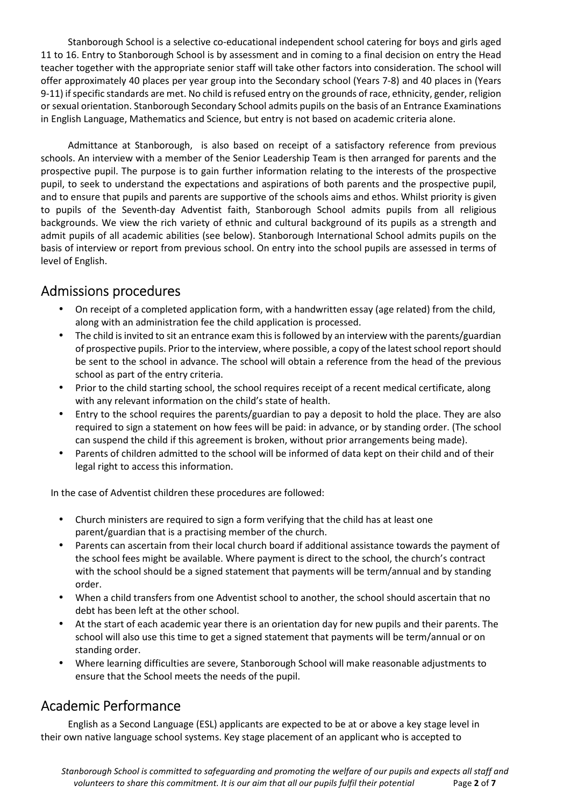Stanborough School is a selective co-educational independent school catering for boys and girls aged 11 to 16. Entry to Stanborough School is by assessment and in coming to a final decision on entry the Head teacher together with the appropriate senior staff will take other factors into consideration. The school will offer approximately 40 places per year group into the Secondary school (Years 7-8) and 40 places in (Years 9-11) if specific standards are met. No child is refused entry on the grounds of race, ethnicity, gender, religion or sexual orientation. Stanborough Secondary School admits pupils on the basis of an Entrance Examinations in English Language, Mathematics and Science, but entry is not based on academic criteria alone.

Admittance at Stanborough, is also based on receipt of a satisfactory reference from previous schools. An interview with a member of the Senior Leadership Team is then arranged for parents and the prospective pupil. The purpose is to gain further information relating to the interests of the prospective pupil, to seek to understand the expectations and aspirations of both parents and the prospective pupil, and to ensure that pupils and parents are supportive of the schools aims and ethos. Whilst priority is given to pupils of the Seventh-day Adventist faith, Stanborough School admits pupils from all religious backgrounds. We view the rich variety of ethnic and cultural background of its pupils as a strength and admit pupils of all academic abilities (see below). Stanborough International School admits pupils on the basis of interview or report from previous school. On entry into the school pupils are assessed in terms of level of English.

# Admissions procedures

- On receipt of a completed application form, with a handwritten essay (age related) from the child, along with an administration fee the child application is processed.
- The child is invited to sit an entrance exam this is followed by an interview with the parents/guardian of prospective pupils. Prior to the interview, where possible, a copy of the latest school report should be sent to the school in advance. The school will obtain a reference from the head of the previous school as part of the entry criteria.
- Prior to the child starting school, the school requires receipt of a recent medical certificate, along with any relevant information on the child's state of health.
- Entry to the school requires the parents/guardian to pay a deposit to hold the place. They are also required to sign a statement on how fees will be paid: in advance, or by standing order. (The school can suspend the child if this agreement is broken, without prior arrangements being made).
- Parents of children admitted to the school will be informed of data kept on their child and of their legal right to access this information.

In the case of Adventist children these procedures are followed:

- Church ministers are required to sign a form verifying that the child has at least one parent/guardian that is a practising member of the church.
- Parents can ascertain from their local church board if additional assistance towards the payment of the school fees might be available. Where payment is direct to the school, the church's contract with the school should be a signed statement that payments will be term/annual and by standing order.
- When a child transfers from one Adventist school to another, the school should ascertain that no debt has been left at the other school.
- At the start of each academic year there is an orientation day for new pupils and their parents. The school will also use this time to get a signed statement that payments will be term/annual or on standing order.
- Where learning difficulties are severe, Stanborough School will make reasonable adjustments to ensure that the School meets the needs of the pupil.

# Academic Performance

English as a Second Language (ESL) applicants are expected to be at or above a key stage level in their own native language school systems. Key stage placement of an applicant who is accepted to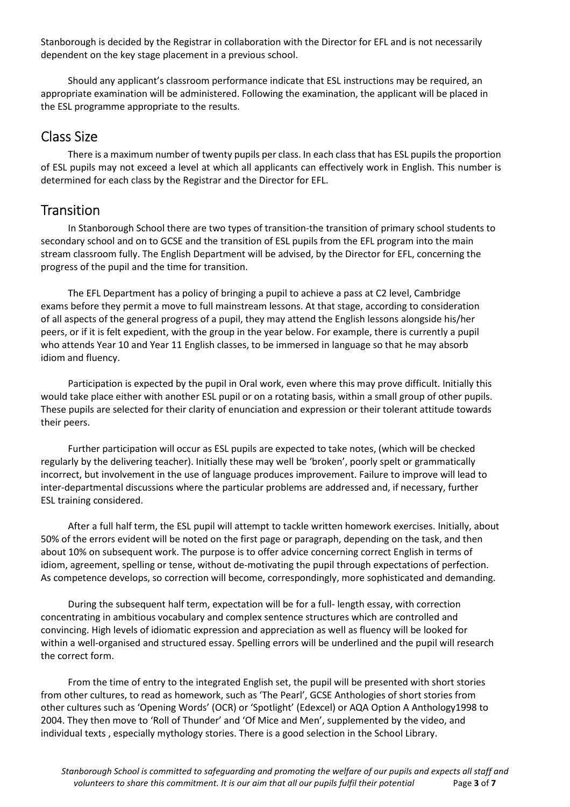Stanborough is decided by the Registrar in collaboration with the Director for EFL and is not necessarily dependent on the key stage placement in a previous school.

Should any applicant's classroom performance indicate that ESL instructions may be required, an appropriate examination will be administered. Following the examination, the applicant will be placed in the ESL programme appropriate to the results.

### Class Size

There is a maximum number of twenty pupils per class. In each class that has ESL pupils the proportion of ESL pupils may not exceed a level at which all applicants can effectively work in English. This number is determined for each class by the Registrar and the Director for EFL.

### **Transition**

In Stanborough School there are two types of transition-the transition of primary school students to secondary school and on to GCSE and the transition of ESL pupils from the EFL program into the main stream classroom fully. The English Department will be advised, by the Director for EFL, concerning the progress of the pupil and the time for transition.

The EFL Department has a policy of bringing a pupil to achieve a pass at C2 level, Cambridge exams before they permit a move to full mainstream lessons. At that stage, according to consideration of all aspects of the general progress of a pupil, they may attend the English lessons alongside his/her peers, or if it is felt expedient, with the group in the year below. For example, there is currently a pupil who attends Year 10 and Year 11 English classes, to be immersed in language so that he may absorb idiom and fluency.

Participation is expected by the pupil in Oral work, even where this may prove difficult. Initially this would take place either with another ESL pupil or on a rotating basis, within a small group of other pupils. These pupils are selected for their clarity of enunciation and expression or their tolerant attitude towards their peers.

Further participation will occur as ESL pupils are expected to take notes, (which will be checked regularly by the delivering teacher). Initially these may well be 'broken', poorly spelt or grammatically incorrect, but involvement in the use of language produces improvement. Failure to improve will lead to inter-departmental discussions where the particular problems are addressed and, if necessary, further ESL training considered.

After a full half term, the ESL pupil will attempt to tackle written homework exercises. Initially, about 50% of the errors evident will be noted on the first page or paragraph, depending on the task, and then about 10% on subsequent work. The purpose is to offer advice concerning correct English in terms of idiom, agreement, spelling or tense, without de-motivating the pupil through expectations of perfection. As competence develops, so correction will become, correspondingly, more sophisticated and demanding.

During the subsequent half term, expectation will be for a full- length essay, with correction concentrating in ambitious vocabulary and complex sentence structures which are controlled and convincing. High levels of idiomatic expression and appreciation as well as fluency will be looked for within a well-organised and structured essay. Spelling errors will be underlined and the pupil will research the correct form.

From the time of entry to the integrated English set, the pupil will be presented with short stories from other cultures, to read as homework, such as 'The Pearl', GCSE Anthologies of short stories from other cultures such as 'Opening Words' (OCR) or 'Spotlight' (Edexcel) or AQA Option A Anthology1998 to 2004. They then move to 'Roll of Thunder' and 'Of Mice and Men', supplemented by the video, and individual texts , especially mythology stories. There is a good selection in the School Library.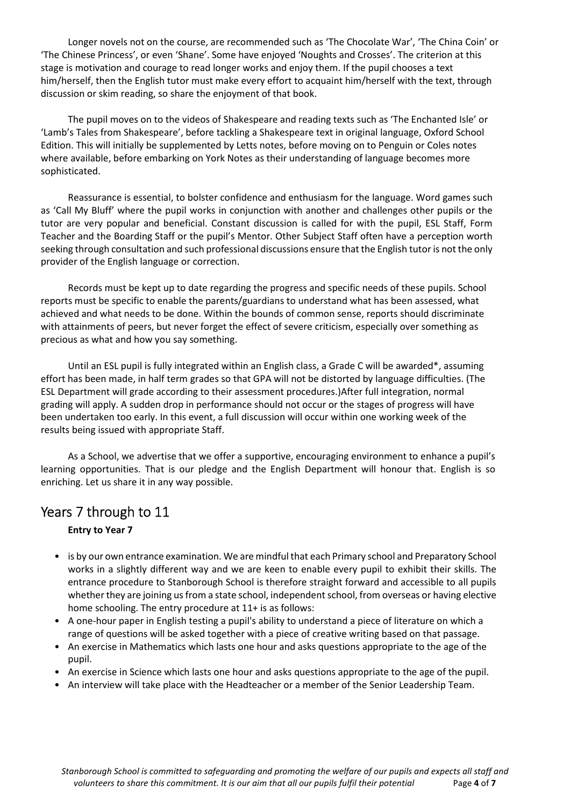Longer novels not on the course, are recommended such as 'The Chocolate War', 'The China Coin' or 'The Chinese Princess', or even 'Shane'. Some have enjoyed 'Noughts and Crosses'. The criterion at this stage is motivation and courage to read longer works and enjoy them. If the pupil chooses a text him/herself, then the English tutor must make every effort to acquaint him/herself with the text, through discussion or skim reading, so share the enjoyment of that book.

The pupil moves on to the videos of Shakespeare and reading texts such as 'The Enchanted Isle' or 'Lamb's Tales from Shakespeare', before tackling a Shakespeare text in original language, Oxford School Edition. This will initially be supplemented by Letts notes, before moving on to Penguin or Coles notes where available, before embarking on York Notes as their understanding of language becomes more sophisticated.

Reassurance is essential, to bolster confidence and enthusiasm for the language. Word games such as 'Call My Bluff' where the pupil works in conjunction with another and challenges other pupils or the tutor are very popular and beneficial. Constant discussion is called for with the pupil, ESL Staff, Form Teacher and the Boarding Staff or the pupil's Mentor. Other Subject Staff often have a perception worth seeking through consultation and such professional discussions ensure that the English tutor is not the only provider of the English language or correction.

Records must be kept up to date regarding the progress and specific needs of these pupils. School reports must be specific to enable the parents/guardians to understand what has been assessed, what achieved and what needs to be done. Within the bounds of common sense, reports should discriminate with attainments of peers, but never forget the effect of severe criticism, especially over something as precious as what and how you say something.

Until an ESL pupil is fully integrated within an English class, a Grade C will be awarded\*, assuming effort has been made, in half term grades so that GPA will not be distorted by language difficulties. (The ESL Department will grade according to their assessment procedures.)After full integration, normal grading will apply. A sudden drop in performance should not occur or the stages of progress will have been undertaken too early. In this event, a full discussion will occur within one working week of the results being issued with appropriate Staff.

As a School, we advertise that we offer a supportive, encouraging environment to enhance a pupil's learning opportunities. That is our pledge and the English Department will honour that. English is so enriching. Let us share it in any way possible.

### Years 7 through to 11

### **Entry to Year 7**

- is by our own entrance examination. We are mindful that each Primary school and Preparatory School works in a slightly different way and we are keen to enable every pupil to exhibit their skills. The entrance procedure to Stanborough School is therefore straight forward and accessible to all pupils whether they are joining us from a state school, independent school, from overseas or having elective home schooling. The entry procedure at 11+ is as follows:
- A one-hour paper in English testing a pupil's ability to understand a piece of literature on which a range of questions will be asked together with a piece of creative writing based on that passage.
- An exercise in Mathematics which lasts one hour and asks questions appropriate to the age of the pupil.
- An exercise in Science which lasts one hour and asks questions appropriate to the age of the pupil.
- An interview will take place with the Headteacher or a member of the Senior Leadership Team.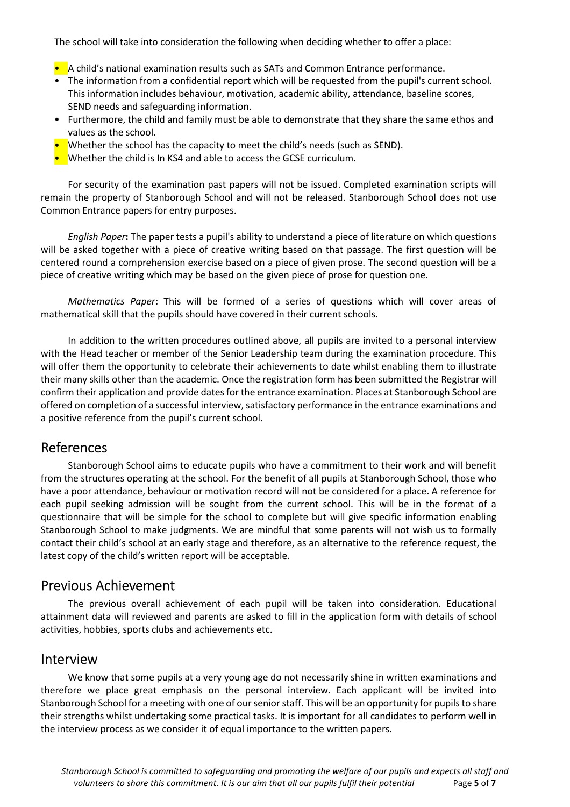The school will take into consideration the following when deciding whether to offer a place:

- A child's national examination results such as SATs and Common Entrance performance.
- The information from a confidential report which will be requested from the pupil's current school. This information includes behaviour, motivation, academic ability, attendance, baseline scores, SEND needs and safeguarding information.
- Furthermore, the child and family must be able to demonstrate that they share the same ethos and values as the school.
- Whether the school has the capacity to meet the child's needs (such as SEND).
- Whether the child is In KS4 and able to access the GCSE curriculum.

For security of the examination past papers will not be issued. Completed examination scripts will remain the property of Stanborough School and will not be released. Stanborough School does not use Common Entrance papers for entry purposes.

*English Paper***:** The paper tests a pupil's ability to understand a piece of literature on which questions will be asked together with a piece of creative writing based on that passage. The first question will be centered round a comprehension exercise based on a piece of given prose. The second question will be a piece of creative writing which may be based on the given piece of prose for question one.

*Mathematics Paper***:** This will be formed of a series of questions which will cover areas of mathematical skill that the pupils should have covered in their current schools.

In addition to the written procedures outlined above, all pupils are invited to a personal interview with the Head teacher or member of the Senior Leadership team during the examination procedure. This will offer them the opportunity to celebrate their achievements to date whilst enabling them to illustrate their many skills other than the academic. Once the registration form has been submitted the Registrar will confirm their application and provide dates for the entrance examination. Places at Stanborough School are offered on completion of a successful interview, satisfactory performance in the entrance examinations and a positive reference from the pupil's current school.

### References

Stanborough School aims to educate pupils who have a commitment to their work and will benefit from the structures operating at the school. For the benefit of all pupils at Stanborough School, those who have a poor attendance, behaviour or motivation record will not be considered for a place. A reference for each pupil seeking admission will be sought from the current school. This will be in the format of a questionnaire that will be simple for the school to complete but will give specific information enabling Stanborough School to make judgments. We are mindful that some parents will not wish us to formally contact their child's school at an early stage and therefore, as an alternative to the reference request, the latest copy of the child's written report will be acceptable.

### Previous Achievement

The previous overall achievement of each pupil will be taken into consideration. Educational attainment data will reviewed and parents are asked to fill in the application form with details of school activities, hobbies, sports clubs and achievements etc.

### Interview

We know that some pupils at a very young age do not necessarily shine in written examinations and therefore we place great emphasis on the personal interview. Each applicant will be invited into Stanborough School for a meeting with one of our senior staff. This will be an opportunity for pupils to share their strengths whilst undertaking some practical tasks. It is important for all candidates to perform well in the interview process as we consider it of equal importance to the written papers.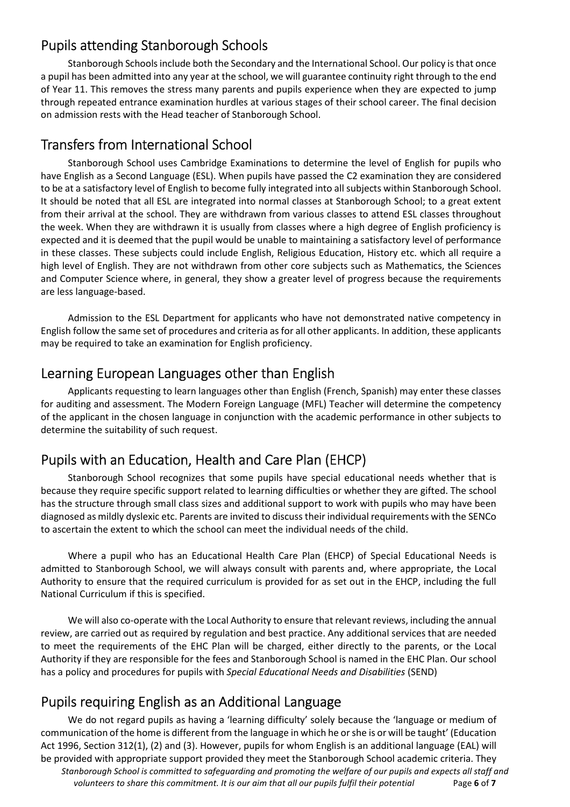### Pupils attending Stanborough Schools

Stanborough Schools include both the Secondary and the International School. Our policy is that once a pupil has been admitted into any year at the school, we will guarantee continuity right through to the end of Year 11. This removes the stress many parents and pupils experience when they are expected to jump through repeated entrance examination hurdles at various stages of their school career. The final decision on admission rests with the Head teacher of Stanborough School.

## Transfers from International School

Stanborough School uses Cambridge Examinations to determine the level of English for pupils who have English as a Second Language (ESL). When pupils have passed the C2 examination they are considered to be at a satisfactory level of English to become fully integrated into all subjects within Stanborough School. It should be noted that all ESL are integrated into normal classes at Stanborough School; to a great extent from their arrival at the school. They are withdrawn from various classes to attend ESL classes throughout the week. When they are withdrawn it is usually from classes where a high degree of English proficiency is expected and it is deemed that the pupil would be unable to maintaining a satisfactory level of performance in these classes. These subjects could include English, Religious Education, History etc. which all require a high level of English. They are not withdrawn from other core subjects such as Mathematics, the Sciences and Computer Science where, in general, they show a greater level of progress because the requirements are less language-based.

Admission to the ESL Department for applicants who have not demonstrated native competency in English follow the same set of procedures and criteria as for all other applicants. In addition, these applicants may be required to take an examination for English proficiency.

## Learning European Languages other than English

Applicants requesting to learn languages other than English (French, Spanish) may enter these classes for auditing and assessment. The Modern Foreign Language (MFL) Teacher will determine the competency of the applicant in the chosen language in conjunction with the academic performance in other subjects to determine the suitability of such request.

# Pupils with an Education, Health and Care Plan (EHCP)

Stanborough School recognizes that some pupils have special educational needs whether that is because they require specific support related to learning difficulties or whether they are gifted. The school has the structure through small class sizes and additional support to work with pupils who may have been diagnosed as mildly dyslexic etc. Parents are invited to discuss their individual requirements with the SENCo to ascertain the extent to which the school can meet the individual needs of the child.

Where a pupil who has an Educational Health Care Plan (EHCP) of Special Educational Needs is admitted to Stanborough School, we will always consult with parents and, where appropriate, the Local Authority to ensure that the required curriculum is provided for as set out in the EHCP, including the full National Curriculum if this is specified.

We will also co-operate with the Local Authority to ensure that relevant reviews, including the annual review, are carried out as required by regulation and best practice. Any additional services that are needed to meet the requirements of the EHC Plan will be charged, either directly to the parents, or the Local Authority if they are responsible for the fees and Stanborough School is named in the EHC Plan. Our school has a policy and procedures for pupils with *Special Educational Needs and Disabilities* (SEND)

## Pupils requiring English as an Additional Language

*Stanborough School is committed to safeguarding and promoting the welfare of our pupils and expects all staff and volunteers to share this commitment. It is our aim that all our pupils fulfil their potential* Page **6** of **7** We do not regard pupils as having a 'learning difficulty' solely because the 'language or medium of communication of the home is different from the language in which he or she is or will be taught' (Education Act 1996, Section 312(1), (2) and (3). However, pupils for whom English is an additional language (EAL) will be provided with appropriate support provided they meet the Stanborough School academic criteria. They